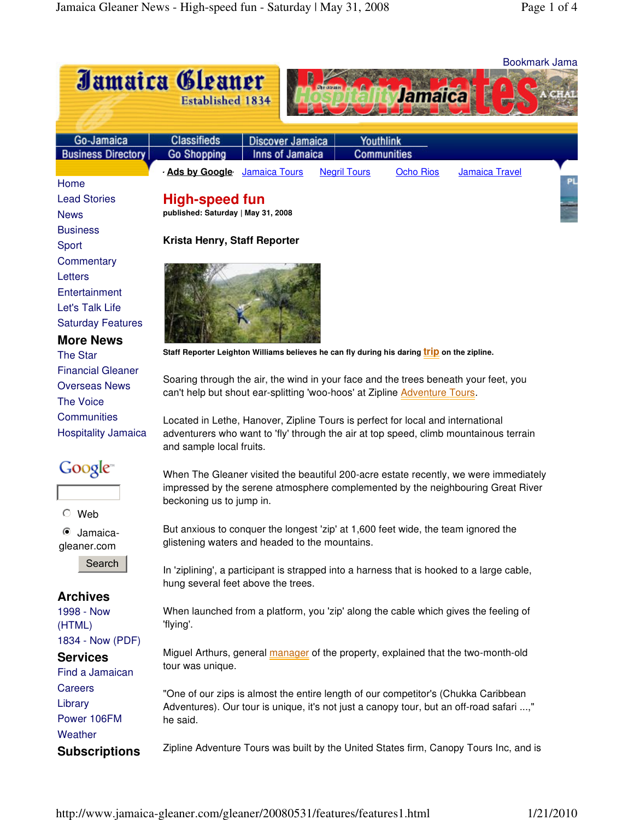|                                    |                                                                                                                                 |                                                                                    |                     |                  |                       | Bookmark Jama |
|------------------------------------|---------------------------------------------------------------------------------------------------------------------------------|------------------------------------------------------------------------------------|---------------------|------------------|-----------------------|---------------|
| Jamaica Gleaner                    |                                                                                                                                 |                                                                                    |                     |                  |                       |               |
|                                    | <b>Established 1834</b>                                                                                                         |                                                                                    |                     | Jamaica          |                       |               |
|                                    |                                                                                                                                 |                                                                                    |                     |                  |                       |               |
|                                    |                                                                                                                                 |                                                                                    |                     |                  |                       |               |
| Go-Jamaica                         | <b>Classifieds</b>                                                                                                              | <b>Discover Jamaica</b>                                                            | Youthlink           |                  |                       |               |
| <b>Business Directory</b>          | <b>Go Shopping</b>                                                                                                              | Inns of Jamaica                                                                    | <b>Communities</b>  |                  |                       |               |
|                                    | <b>Ads by Google</b> Jamaica Tours                                                                                              |                                                                                    | <b>Negril Tours</b> | <b>Ocho Rios</b> | <b>Jamaica Travel</b> |               |
| Home                               |                                                                                                                                 |                                                                                    |                     |                  |                       |               |
| <b>Lead Stories</b><br><b>News</b> | High-speed fun<br>published: Saturday   May 31, 2008                                                                            |                                                                                    |                     |                  |                       |               |
| <b>Business</b>                    |                                                                                                                                 |                                                                                    |                     |                  |                       |               |
| Sport                              | Krista Henry, Staff Reporter                                                                                                    |                                                                                    |                     |                  |                       |               |
| Commentary                         |                                                                                                                                 |                                                                                    |                     |                  |                       |               |
| Letters                            |                                                                                                                                 |                                                                                    |                     |                  |                       |               |
| Entertainment                      |                                                                                                                                 |                                                                                    |                     |                  |                       |               |
| Let's Talk Life                    |                                                                                                                                 |                                                                                    |                     |                  |                       |               |
| <b>Saturday Features</b>           |                                                                                                                                 |                                                                                    |                     |                  |                       |               |
| <b>More News</b>                   |                                                                                                                                 |                                                                                    |                     |                  |                       |               |
| <b>The Star</b>                    | Staff Reporter Leighton Williams believes he can fly during his daring <i>trip</i> on the zipline.                              |                                                                                    |                     |                  |                       |               |
| <b>Financial Gleaner</b>           |                                                                                                                                 |                                                                                    |                     |                  |                       |               |
| <b>Overseas News</b>               | Soaring through the air, the wind in your face and the trees beneath your feet, you                                             |                                                                                    |                     |                  |                       |               |
| <b>The Voice</b>                   | can't help but shout ear-splitting 'woo-hoos' at Zipline Adventure Tours.                                                       |                                                                                    |                     |                  |                       |               |
| Communities                        | Located in Lethe, Hanover, Zipline Tours is perfect for local and international                                                 |                                                                                    |                     |                  |                       |               |
| <b>Hospitality Jamaica</b>         | adventurers who want to 'fly' through the air at top speed, climb mountainous terrain                                           |                                                                                    |                     |                  |                       |               |
|                                    | and sample local fruits.                                                                                                        |                                                                                    |                     |                  |                       |               |
| Google <sup>®</sup>                |                                                                                                                                 |                                                                                    |                     |                  |                       |               |
|                                    | When The Gleaner visited the beautiful 200-acre estate recently, we were immediately                                            |                                                                                    |                     |                  |                       |               |
|                                    | impressed by the serene atmosphere complemented by the neighbouring Great River<br>beckoning us to jump in.                     |                                                                                    |                     |                  |                       |               |
| Web                                |                                                                                                                                 |                                                                                    |                     |                  |                       |               |
| Jamaica-<br>$\bullet$              | But anxious to conquer the longest 'zip' at 1,600 feet wide, the team ignored the                                               |                                                                                    |                     |                  |                       |               |
| gleaner.com                        |                                                                                                                                 | glistening waters and headed to the mountains.                                     |                     |                  |                       |               |
| Search                             |                                                                                                                                 |                                                                                    |                     |                  |                       |               |
|                                    | In 'ziplining', a participant is strapped into a harness that is hooked to a large cable,<br>hung several feet above the trees. |                                                                                    |                     |                  |                       |               |
| <b>Archives</b>                    |                                                                                                                                 |                                                                                    |                     |                  |                       |               |
| 1998 - Now                         | When launched from a platform, you 'zip' along the cable which gives the feeling of<br>'flying'.                                |                                                                                    |                     |                  |                       |               |
| (HTML)                             |                                                                                                                                 |                                                                                    |                     |                  |                       |               |
| 1834 - Now (PDF)                   |                                                                                                                                 |                                                                                    |                     |                  |                       |               |
| <b>Services</b>                    | Miguel Arthurs, general manager of the property, explained that the two-month-old<br>tour was unique.                           |                                                                                    |                     |                  |                       |               |
| Find a Jamaican                    |                                                                                                                                 |                                                                                    |                     |                  |                       |               |
| Careers                            |                                                                                                                                 | "One of our zips is almost the entire length of our competitor's (Chukka Caribbean |                     |                  |                       |               |
| Library                            | Adventures). Our tour is unique, it's not just a canopy tour, but an off-road safari ,"                                         |                                                                                    |                     |                  |                       |               |
| Power 106FM                        | he said.                                                                                                                        |                                                                                    |                     |                  |                       |               |
| Weather                            |                                                                                                                                 |                                                                                    |                     |                  |                       |               |
| <b>Subscriptions</b>               | Zipline Adventure Tours was built by the United States firm, Canopy Tours Inc, and is                                           |                                                                                    |                     |                  |                       |               |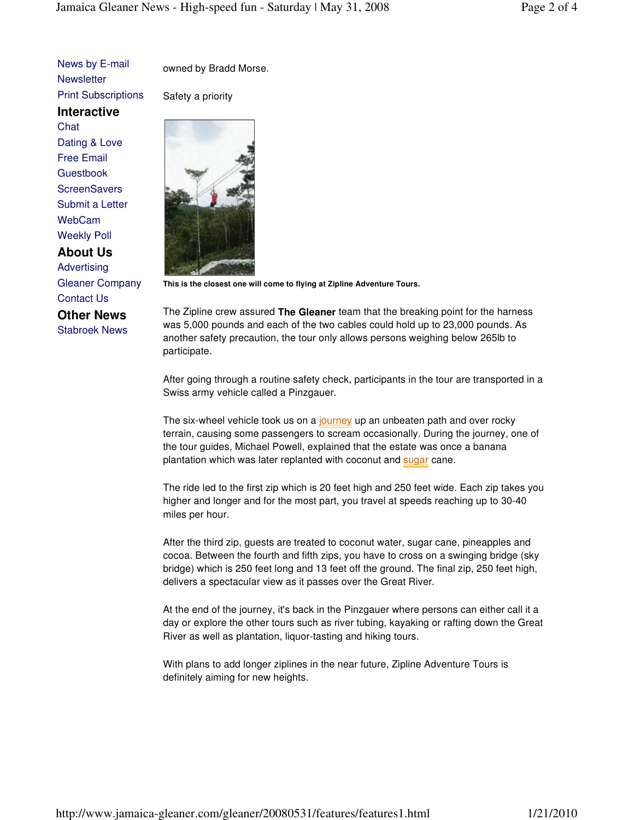News by E-mail **Newsletter** Print Subscriptions

**Interactive Chat** Dating & Love Free Email

**Guestbook ScreenSavers** Submit a Letter WebCam Weekly Poll

**About Us** Advertising Gleaner Company Contact Us

**Other News** Stabroek News owned by Bradd Morse.

Safety a priority



**This is the closest one will come to flying at Zipline Adventure Tours.** 

The Zipline crew assured **The Gleaner** team that the breaking point for the harness was 5,000 pounds and each of the two cables could hold up to 23,000 pounds. As another safety precaution, the tour only allows persons weighing below 265lb to participate.

After going through a routine safety check, participants in the tour are transported in a Swiss army vehicle called a Pinzgauer.

The six-wheel vehicle took us on a journey up an unbeaten path and over rocky terrain, causing some passengers to scream occasionally. During the journey, one of the tour guides, Michael Powell, explained that the estate was once a banana plantation which was later replanted with coconut and **sugar** cane.

The ride led to the first zip which is 20 feet high and 250 feet wide. Each zip takes you higher and longer and for the most part, you travel at speeds reaching up to 30-40 miles per hour.

After the third zip, guests are treated to coconut water, sugar cane, pineapples and cocoa. Between the fourth and fifth zips, you have to cross on a swinging bridge (sky bridge) which is 250 feet long and 13 feet off the ground. The final zip, 250 feet high, delivers a spectacular view as it passes over the Great River.

At the end of the journey, it's back in the Pinzgauer where persons can either call it a day or explore the other tours such as river tubing, kayaking or rafting down the Great River as well as plantation, liquor-tasting and hiking tours.

With plans to add longer ziplines in the near future, Zipline Adventure Tours is definitely aiming for new heights.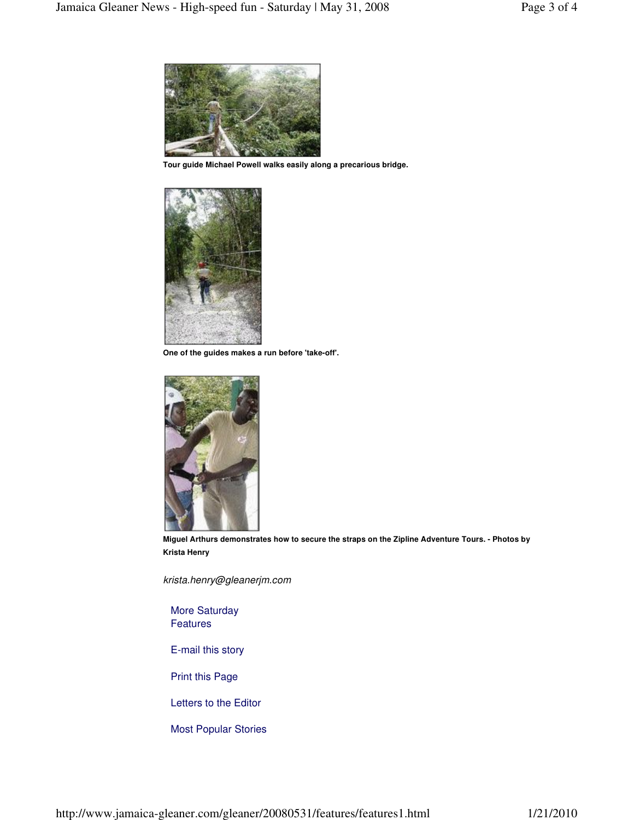

**Tour guide Michael Powell walks easily along a precarious bridge.** 



**One of the guides makes a run before 'take-off'.** 



**Miguel Arthurs demonstrates how to secure the straps on the Zipline Adventure Tours. - Photos by Krista Henry** 

krista.henry@gleanerjm.com

More Saturday Features

E-mail this story

Print this Page

Letters to the Editor

Most Popular Stories